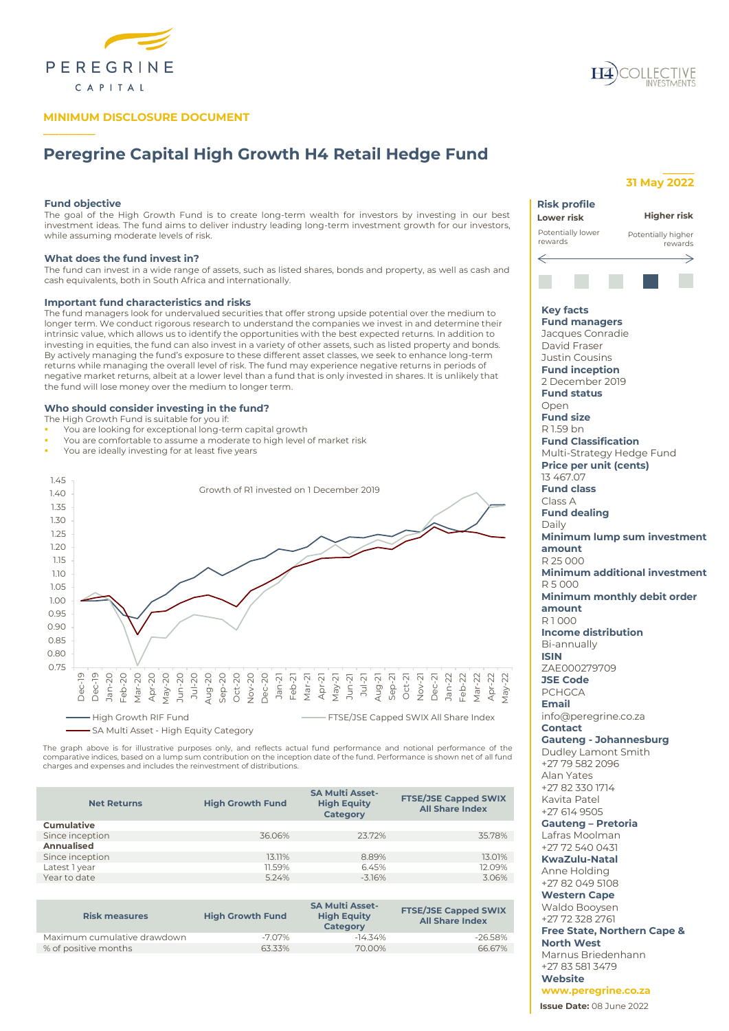

# **MINIMUM DISCLOSURE DOCUMENT**

# **Peregrine Capital High Growth H4 Retail Hedge Fund**

# **Fund objective**

**\_\_\_\_\_\_\_\_\_\_**

The goal of the High Growth Fund is to create long-term wealth for investors by investing in our best investment ideas. The fund aims to deliver industry leading long-term investment growth for our investors, while assuming moderate levels of risk.

# **What does the fund invest in?**

The fund can invest in a wide range of assets, such as listed shares, bonds and property, as well as cash and cash equivalents, both in South Africa and internationally.

# **Important fund characteristics and risks**

The fund managers look for undervalued securities that offer strong upside potential over the medium to longer term. We conduct rigorous research to understand the companies we invest in and determine their intrinsic value, which allows us to identify the opportunities with the best expected returns. In addition to investing in equities, the fund can also invest in a variety of other assets, such as listed property and bonds. By actively managing the fund's exposure to these different asset classes, we seek to enhance long-term returns while managing the overall level of risk. The fund may experience negative returns in periods of negative market returns, albeit at a lower level than a fund that is only invested in shares. It is unlikely that the fund will lose money over the medium to longer term.

# **Who should consider investing in the fund?**

- The High Growth Fund is suitable for you if:
- You are looking for exceptional long-term capital growth
- You are comfortable to assume a moderate to high level of market risk
- You are ideally investing for at least five years



The graph above is for illustrative purposes only, and reflects actual fund performance and notional performance of the<br>comparative indices, based on a lump sum contribution on the inception date of the fund. Performance i charges and expenses and includes the reinvestment of distributions.

| <b>Net Returns</b> | <b>High Growth Fund</b> | <b>SA Multi Asset-</b><br><b>High Equity</b><br>Category | <b>FTSE/JSE Capped SWIX</b><br><b>All Share Index</b> |
|--------------------|-------------------------|----------------------------------------------------------|-------------------------------------------------------|
| <b>Cumulative</b>  |                         |                                                          |                                                       |
| Since inception    | 36.06%                  | 23.72%                                                   | 35.78%                                                |
| Annualised         |                         |                                                          |                                                       |
| Since inception    | 13.11%                  | 8.89%                                                    | 13.01%                                                |
| Latest 1 year      | 11.59%                  | 6.45%                                                    | 12.09%                                                |
| Year to date       | 5.24%                   | $-3.16%$                                                 | 3.06%                                                 |
|                    |                         |                                                          |                                                       |

| <b>Risk measures</b>        | <b>High Growth Fund</b> | <b>SA Multi Asset-</b><br><b>High Equity</b><br><b>Category</b> | <b>FTSE/JSE Capped SWIX</b><br><b>All Share Index</b> |
|-----------------------------|-------------------------|-----------------------------------------------------------------|-------------------------------------------------------|
| Maximum cumulative drawdown | $-707\%$                | $-14.34\%$                                                      | $-26.58%$                                             |
| % of positive months        | 6333%                   | 70.00%                                                          | 66.67%                                                |



# **31 May 2022**

**\_\_\_\_\_\_**

| <b>Risk profile</b>                     |                               |
|-----------------------------------------|-------------------------------|
| Lower risk                              | Higher risk                   |
| Potentially lower                       | Potentially higher            |
| rewards                                 | rewards                       |
| $\Leftarrow$                            |                               |
|                                         |                               |
|                                         |                               |
|                                         |                               |
| <b>Key facts</b>                        |                               |
| <b>Fund managers</b>                    |                               |
| Jacques Conradie                        |                               |
| David Fraser                            |                               |
| Justin Cousins<br><b>Fund inception</b> |                               |
| 2 December 2019                         |                               |
| <b>Fund status</b>                      |                               |
| Open                                    |                               |
| <b>Fund size</b>                        |                               |
| R 1.59 bn                               |                               |
| <b>Fund Classification</b>              |                               |
| Multi-Strategy Hedge Fund               |                               |
| <b>Price per unit (cents)</b>           |                               |
| 13 467.07<br><b>Fund class</b>          |                               |
| Class A                                 |                               |
| <b>Fund dealing</b>                     |                               |
| Daily                                   |                               |
|                                         | Minimum lump sum investment   |
| amount                                  |                               |
| R 25 000                                |                               |
|                                         | Minimum additional investment |
| R5000                                   | Minimum monthly debit order   |
| amount                                  |                               |
| R1000                                   |                               |
| <b>Income distribution</b>              |                               |
| Bi-annually                             |                               |
| <b>ISIN</b>                             |                               |
| ZAE000279709                            |                               |
| <b>JSE Code</b>                         |                               |
| <b>PCHGCA</b><br><b>Email</b>           |                               |
| info@peregrine.co.za                    |                               |
| <b>Contact</b>                          |                               |
| <b>Gauteng - Johannesburg</b>           |                               |
| Dudley Lamont Smith                     |                               |
| +27 79 582 2096                         |                               |
| Alan Yates                              |                               |
| +27 82 330 1714                         |                               |
| Kavita Patel<br>+27 614 9505            |                               |
| <b>Gauteng - Pretoria</b>               |                               |
| Lafras Moolman                          |                               |
| +27 72 540 0431                         |                               |
| <b>KwaZulu-Natal</b>                    |                               |
| Anne Holding                            |                               |
| +27 82 049 5108                         |                               |
| <b>Western Cape</b>                     |                               |
| Waldo Booysen<br>+27 72 328 2761        |                               |
|                                         |                               |

**Free State, Northern Cape & North West** Marnus Briedenhann +27 83 581 3479

**Issue Date:** 08 June 2022 **Website www.peregrine.co.za**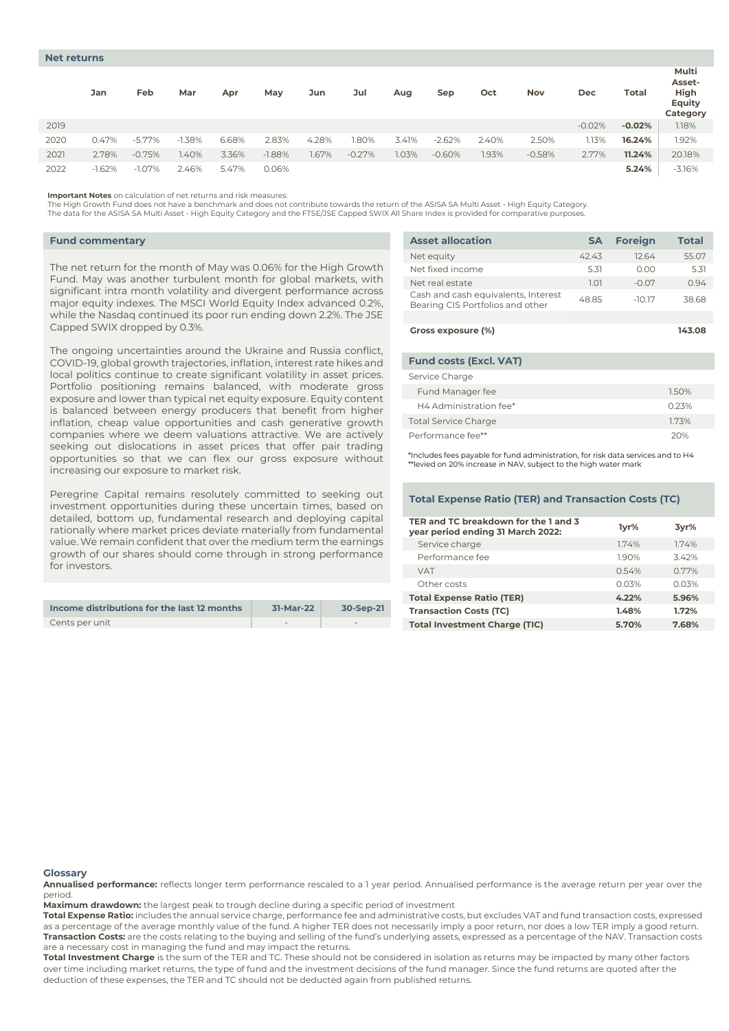|      | Jan      | Feb       | Mar      | Apr   | May      | Jun   | Jul      | Aug   | Sep      | Oct   | Nov      | Dec      | Total    | Multi<br>Asset-<br>High<br>Equity<br>Category |
|------|----------|-----------|----------|-------|----------|-------|----------|-------|----------|-------|----------|----------|----------|-----------------------------------------------|
| 2019 |          |           |          |       |          |       |          |       |          |       |          | $-0.02%$ | $-0.02%$ | 1.18%                                         |
| 2020 | 0.47%    | $-5.77\%$ | $-1.38%$ | 6.68% | 2.83%    | 4.28% | 1.80%    | 3.41% | $-2.62%$ | 2.40% | 2.50%    | 1.13%    | 16.24%   | 1.92%                                         |
| 2021 | 2.78%    | $-0.75%$  | .40%     | 3.36% | $-1.88%$ | 1.67% | $-0.27%$ | 1.03% | $-0.60%$ | .93%  | $-0.58%$ | 2.77%    | 11.24%   | 20.18%                                        |
| 2022 | $-1.62%$ | $-1.07\%$ | 2.46%    | 5.47% | 0.06%    |       |          |       |          |       |          |          | 5.24%    | $-3.16%$                                      |

**Important Notes** on calculation of net returns and risk measures:

The High Growth Fund does not have a benchmark and does not contribute towards the return of the ASISA SA Multi Asset - High Equity Category.

The data for the ASISA SA Multi Asset - High Equity Category and the FTSE/JSE Capped SWIX All Share Index is provided for comparative purposes.

# **Fund commentary**

The net return for the month of May was 0.06% for the High Growth Fund. May was another turbulent month for global markets, with significant intra month volatility and divergent performance across major equity indexes. The MSCI World Equity Index advanced 0.2%, while the Nasdaq continued its poor run ending down 2.2%. The JSE Capped SWIX dropped by 0.3%.

The ongoing uncertainties around the Ukraine and Russia conflict, COVID-19, global growth trajectories, inflation, interest rate hikes and local politics continue to create significant volatility in asset prices. Portfolio positioning remains balanced, with moderate gross exposure and lower than typical net equity exposure. Equity content is balanced between energy producers that benefit from higher inflation, cheap value opportunities and cash generative growth companies where we deem valuations attractive. We are actively seeking out dislocations in asset prices that offer pair trading opportunities so that we can flex our gross exposure without increasing our exposure to market risk.

Peregrine Capital remains resolutely committed to seeking out investment opportunities during these uncertain times, based on detailed, bottom up, fundamental research and deploying capital rationally where market prices deviate materially from fundamental value. We remain confident that over the medium term the earnings growth of our shares should come through in strong performance for investors.

| Income distributions for the last 12 months | 31-Mar-22 | 30-Sep-21 |
|---------------------------------------------|-----------|-----------|
| Cents per unit                              |           |           |

| <b>Asset allocation</b>                                                 | SΑ    | <b>Foreign</b> | <b>Total</b> |
|-------------------------------------------------------------------------|-------|----------------|--------------|
| Net equity                                                              | 4243  | 12.64          | 55.07        |
| Net fixed income                                                        | 5.31  | 0.00           | 5.31         |
| Net real estate                                                         | 1.01  | $-0.07$        | 0.94         |
| Cash and cash equivalents, Interest<br>Bearing CIS Portfolios and other | 48.85 | $-10.17$       | 38.68        |
|                                                                         |       |                |              |
| Gross exposure (%)                                                      |       |                | 143.08       |

| <b>Fund costs (Excl. VAT)</b> |       |
|-------------------------------|-------|
| Service Charge                |       |
| Fund Manager fee              | 1.50% |
| H4 Administration fee*        | 0.23% |
| <b>Total Service Charge</b>   | 1.73% |
| Performance fee**             | 20%   |

\*Includes fees payable for fund administration, for risk data services and to H4 \*\*levied on 20% increase in NAV, subject to the high water mark

# **Total Expense Ratio (TER) and Transaction Costs (TC)**

| TER and TC breakdown for the 1 and 3<br>year period ending 31 March 2022: | lyr%  | 3yr%  |
|---------------------------------------------------------------------------|-------|-------|
| Service charge                                                            | 1.74% | 174%  |
| Performance fee                                                           | 190%  | 342%  |
| <b>VAT</b>                                                                | 0.54% | 0.77% |
| Other costs                                                               | 0.03% | 0.03% |
| <b>Total Expense Ratio (TER)</b>                                          | 4.22% | 5.96% |
| <b>Transaction Costs (TC)</b>                                             | 1.48% | 1.72% |
| <b>Total Investment Charge (TIC)</b>                                      | 5.70% | 7.68% |

#### **Glossary**

**Annualised performance:** reflects longer term performance rescaled to a 1 year period. Annualised performance is the average return per year over the period.

**Maximum drawdown:** the largest peak to trough decline during a specific period of investment

**Total Expense Ratio:** includes the annual service charge, performance fee and administrative costs, but excludes VAT and fund transaction costs, expressed as a percentage of the average monthly value of the fund. A higher TER does not necessarily imply a poor return, nor does a low TER imply a good return. **Transaction Costs:** are the costs relating to the buying and selling of the fund's underlying assets, expressed as a percentage of the NAV. Transaction costs are a necessary cost in managing the fund and may impact the returns.

**Total Investment Charge** is the sum of the TER and TC. These should not be considered in isolation as returns may be impacted by many other factors over time including market returns, the type of fund and the investment decisions of the fund manager. Since the fund returns are quoted after the deduction of these expenses, the TER and TC should not be deducted again from published returns.